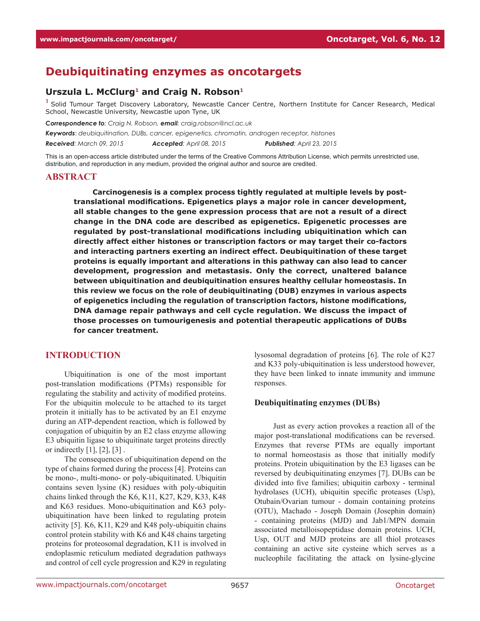# **Deubiquitinating enzymes as oncotargets**

## Urszula L. McClurg<sup>1</sup> and Craig N. Robson<sup>1</sup>

<sup>1</sup> Solid Tumour Target Discovery Laboratory, Newcastle Cancer Centre, Northern Institute for Cancer Research, Medical School, Newcastle University, Newcastle upon Tyne, UK

*Correspondence to: Craig N. Robson, email: craig.robson@ncl.ac.uk*

*Keywords*: *deubiquitination, DUBs, cancer, epigenetics, chromatin, androgen receptor, histones*

*Received: March 09, 2015 Accepted: April 08, 2015 Published: April 23, 2015*

This is an open-access article distributed under the terms of the Creative Commons Attribution License, which permits unrestricted use, distribution, and reproduction in any medium, provided the original author and source are credited.

#### **Abstract**

**Carcinogenesis is a complex process tightly regulated at multiple levels by posttranslational modifications. Epigenetics plays a major role in cancer development, all stable changes to the gene expression process that are not a result of a direct change in the DNA code are described as epigenetics. Epigenetic processes are regulated by post-translational modifications including ubiquitination which can directly affect either histones or transcription factors or may target their co-factors and interacting partners exerting an indirect effect. Deubiquitination of these target proteins is equally important and alterations in this pathway can also lead to cancer development, progression and metastasis. Only the correct, unaltered balance between ubiquitination and deubiquitination ensures healthy cellular homeostasis. In this review we focus on the role of deubiquitinating (DUB) enzymes in various aspects of epigenetics including the regulation of transcription factors, histone modifications, DNA damage repair pathways and cell cycle regulation. We discuss the impact of those processes on tumourigenesis and potential therapeutic applications of DUBs for cancer treatment.**

## **Introduction**

Ubiquitination is one of the most important post-translation modifications (PTMs) responsible for regulating the stability and activity of modified proteins. For the ubiquitin molecule to be attached to its target protein it initially has to be activated by an E1 enzyme during an ATP-dependent reaction, which is followed by conjugation of ubiquitin by an E2 class enzyme allowing E3 ubiquitin ligase to ubiquitinate target proteins directly or indirectly  $[1]$ ,  $[2]$ ,  $[3]$ .

The consequences of ubiquitination depend on the type of chains formed during the process [4]. Proteins can be mono-, multi-mono- or poly-ubiquitinated. Ubiquitin contains seven lysine (K) residues with poly-ubiquitin chains linked through the K6, K11, K27, K29, K33, K48 and K63 residues. Mono-ubiquitination and K63 polyubiquitination have been linked to regulating protein activity [5]. K6, K11, K29 and K48 poly-ubiquitin chains control protein stability with K6 and K48 chains targeting proteins for proteosomal degradation, K11 is involved in endoplasmic reticulum mediated degradation pathways and control of cell cycle progression and K29 in regulating

lysosomal degradation of proteins [6]. The role of K27 and K33 poly-ubiquitination is less understood however, they have been linked to innate immunity and immune responses.

#### **Deubiquitinating enzymes (DUBs)**

Just as every action provokes a reaction all of the major post-translational modifications can be reversed. Enzymes that reverse PTMs are equally important to normal homeostasis as those that initially modify proteins. Protein ubiquitination by the E3 ligases can be reversed by deubiquitinating enzymes [7]. DUBs can be divided into five families; ubiquitin carboxy - terminal hydrolases (UCH), ubiquitin specific proteases (Usp), Otubain/Ovarian tumour - domain containing proteins (OTU), Machado - Joseph Domain (Josephin domain) - containing proteins (MJD) and Jab1/MPN domain associated metalloisopeptidase domain proteins. UCH, Usp, OUT and MJD proteins are all thiol proteases containing an active site cysteine which serves as a nucleophile facilitating the attack on lysine-glycine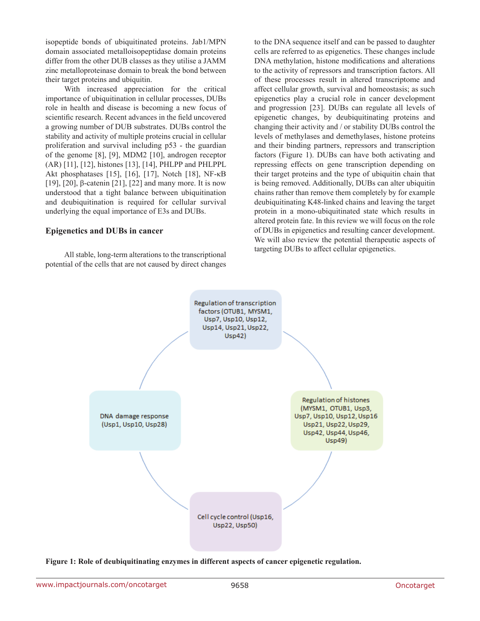isopeptide bonds of ubiquitinated proteins. Jab1/MPN domain associated metalloisopeptidase domain proteins differ from the other DUB classes as they utilise a JAMM zinc metalloproteinase domain to break the bond between their target proteins and ubiquitin.

With increased appreciation for the critical importance of ubiquitination in cellular processes, DUBs role in health and disease is becoming a new focus of scientific research. Recent advances in the field uncovered a growing number of DUB substrates. DUBs control the stability and activity of multiple proteins crucial in cellular proliferation and survival including p53 - the guardian of the genome [8], [9], MDM2 [10], androgen receptor (AR) [11], [12], histones [13], [14], PHLPP and PHLPPL Akt phosphatases [15], [16], [17], Notch [18], NF-κB [19], [20], β-catenin [21], [22] and many more. It is now understood that a tight balance between ubiquitination and deubiquitination is required for cellular survival underlying the equal importance of E3s and DUBs.

#### **Epigenetics and DUBs in cancer**

All stable, long-term alterations to the transcriptional potential of the cells that are not caused by direct changes

to the DNA sequence itself and can be passed to daughter cells are referred to as epigenetics. These changes include DNA methylation, histone modifications and alterations to the activity of repressors and transcription factors. All of these processes result in altered transcriptome and affect cellular growth, survival and homeostasis; as such epigenetics play a crucial role in cancer development and progression [23]. DUBs can regulate all levels of epigenetic changes, by deubiquitinating proteins and changing their activity and / or stability DUBs control the levels of methylases and demethylases, histone proteins and their binding partners, repressors and transcription factors (Figure 1). DUBs can have both activating and repressing effects on gene transcription depending on their target proteins and the type of ubiquitin chain that is being removed. Additionally, DUBs can alter ubiquitin chains rather than remove them completely by for example deubiquitinating K48-linked chains and leaving the target protein in a mono-ubiquitinated state which results in altered protein fate. In this review we will focus on the role of DUBs in epigenetics and resulting cancer development. We will also review the potential therapeutic aspects of targeting DUBs to affect cellular epigenetics.



**Figure 1: Role of deubiquitinating enzymes in different aspects of cancer epigenetic regulation.**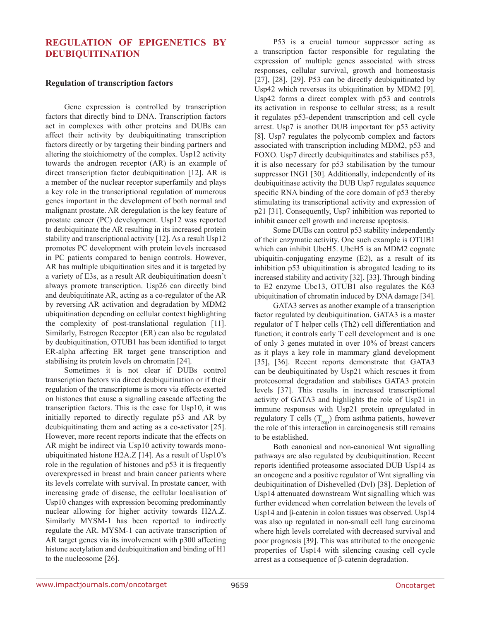# **Regulation of epigenetics by deubiquitination**

#### **Regulation of transcription factors**

Gene expression is controlled by transcription factors that directly bind to DNA. Transcription factors act in complexes with other proteins and DUBs can affect their activity by deubiquitinating transcription factors directly or by targeting their binding partners and altering the stoichiometry of the complex. Usp12 activity towards the androgen receptor (AR) is an example of direct transcription factor deubiquitination [12]. AR is a member of the nuclear receptor superfamily and plays a key role in the transcriptional regulation of numerous genes important in the development of both normal and malignant prostate. AR deregulation is the key feature of prostate cancer (PC) development. Usp12 was reported to deubiquitinate the AR resulting in its increased protein stability and transcriptional activity [12]. As a result Usp12 promotes PC development with protein levels increased in PC patients compared to benign controls. However, AR has multiple ubiquitination sites and it is targeted by a variety of E3s, as a result AR deubiquitination doesn't always promote transcription. Usp26 can directly bind and deubiquitinate AR, acting as a co-regulator of the AR by reversing AR activation and degradation by MDM2 ubiquitination depending on cellular context highlighting the complexity of post-translational regulation [11]. Similarly, Estrogen Receptor (ER) can also be regulated by deubiquitination, OTUB1 has been identified to target ER-alpha affecting ER target gene transcription and stabilising its protein levels on chromatin [24].

Sometimes it is not clear if DUBs control transcription factors via direct deubiquitination or if their regulation of the transcriptome is more via effects exerted on histones that cause a signalling cascade affecting the transcription factors. This is the case for Usp10, it was initially reported to directly regulate p53 and AR by deubiquitinating them and acting as a co-activator [25]. However, more recent reports indicate that the effects on AR might be indirect via Usp10 activity towards monoubiquitinated histone H2A.Z [14]. As a result of Usp10's role in the regulation of histones and p53 it is frequently overexpressed in breast and brain cancer patients where its levels correlate with survival. In prostate cancer, with increasing grade of disease, the cellular localisation of Usp10 changes with expression becoming predominantly nuclear allowing for higher activity towards H2A.Z. Similarly MYSM-1 has been reported to indirectly regulate the AR. MYSM-1 can activate transcription of AR target genes via its involvement with p300 affecting histone acetylation and deubiquitination and binding of H1 to the nucleosome [26].

P53 is a crucial tumour suppressor acting as a transcription factor responsible for regulating the expression of multiple genes associated with stress responses, cellular survival, growth and homeostasis [27], [28], [29]. P53 can be directly deubiquitinated by Usp42 which reverses its ubiquitination by MDM2 [9]. Usp42 forms a direct complex with p53 and controls its activation in response to cellular stress; as a result it regulates p53-dependent transcription and cell cycle arrest. Usp7 is another DUB important for p53 activity [8]. Usp7 regulates the polycomb complex and factors associated with transcription including MDM2, p53 and FOXO. Usp7 directly deubiquitinates and stabilises p53, it is also necessary for p53 stabilisation by the tumour suppressor ING1 [30]. Additionally, independently of its deubiquitinase activity the DUB Usp7 regulates sequence specific RNA binding of the core domain of p53 thereby stimulating its transcriptional activity and expression of p21 [31]. Consequently, Usp7 inhibition was reported to inhibit cancer cell growth and increase apoptosis.

Some DUBs can control p53 stability independently of their enzymatic activity. One such example is OTUB1 which can inhibit UbcH5. UbcH5 is an MDM2 cognate ubiquitin-conjugating enzyme (E2), as a result of its inhibition p53 ubiquitination is abrogated leading to its increased stability and activity [32], [33]. Through binding to E2 enzyme Ubc13, OTUB1 also regulates the K63 ubiquitination of chromatin induced by DNA damage [34].

GATA3 serves as another example of a transcription factor regulated by deubiquitination. GATA3 is a master regulator of T helper cells (Th2) cell differentiation and function; it controls early T cell development and is one of only 3 genes mutated in over 10% of breast cancers as it plays a key role in mammary gland development [35], [36]. Recent reports demonstrate that GATA3 can be deubiquitinated by Usp21 which rescues it from proteosomal degradation and stabilises GATA3 protein levels [37]. This results in increased transcriptional activity of GATA3 and highlights the role of Usp21 in immune responses with Usp21 protein upregulated in regulatory T cells  $(T_{res})$  from asthma patients, however the role of this interaction in carcinogenesis still remains to be established.

Both canonical and non-canonical Wnt signalling pathways are also regulated by deubiquitination. Recent reports identified proteasome associated DUB Usp14 as an oncogene and a positive regulator of Wnt signalling via deubiquitination of Dishevelled (Dvl) [38]. Depletion of Usp14 attenuated downstream Wnt signalling which was further evidenced when correlation between the levels of Usp14 and β-catenin in colon tissues was observed. Usp14 was also up regulated in non-small cell lung carcinoma where high levels correlated with decreased survival and poor prognosis [39]. This was attributed to the oncogenic properties of Usp14 with silencing causing cell cycle arrest as a consequence of β-catenin degradation.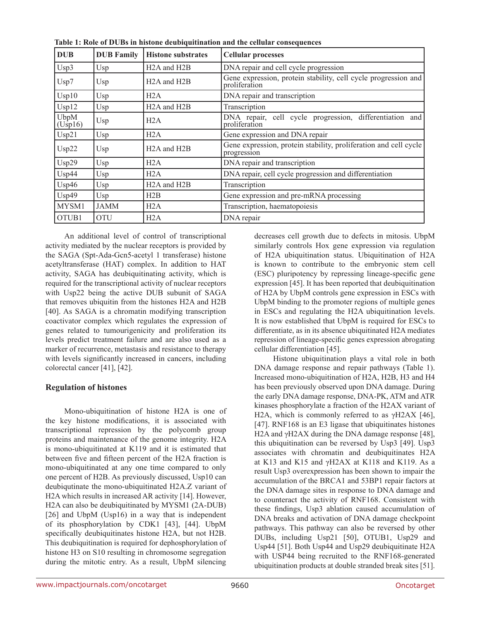| <b>DUB</b>         | <b>DUB</b> Family | <b>Histone substrates</b>             | <b>Cellular processes</b>                                                       |  |
|--------------------|-------------------|---------------------------------------|---------------------------------------------------------------------------------|--|
| Usp3               | Usp               | H <sub>2</sub> A and H <sub>2</sub> B | DNA repair and cell cycle progression                                           |  |
| Usp7               | Usp               | H <sub>2</sub> A and H <sub>2</sub> B | Gene expression, protein stability, cell cycle progression and<br>proliferation |  |
| Usp10              | Usp.              | H2A                                   | DNA repair and transcription                                                    |  |
| Usp12              | Usp               | H <sub>2</sub> A and H <sub>2</sub> B | Transcription                                                                   |  |
| UbpM<br>(Using 16) | Usp               | H2A                                   | DNA repair, cell cycle progression, differentiation and<br>proliferation        |  |
| Usp21              | Usp               | H2A                                   | Gene expression and DNA repair                                                  |  |
| Usp22              | Usp               | H <sub>2</sub> A and H <sub>2</sub> B | Gene expression, protein stability, proliferation and cell cycle<br>progression |  |
| Usp29              | Usp               | H2A                                   | DNA repair and transcription                                                    |  |
| Usp44              | Usp               | H2A                                   | DNA repair, cell cycle progression and differentiation                          |  |
| Usp46              | Usp               | H <sub>2</sub> A and H <sub>2</sub> B | Transcription                                                                   |  |
| Usp49              | Usp               | H2B                                   | Gene expression and pre-mRNA processing                                         |  |
| MYSM1              | <b>JAMM</b>       | H2A                                   | Transcription, haematopoiesis                                                   |  |
| OTUB1              | <b>OTU</b>        | H2A                                   | DNA repair                                                                      |  |

**Table 1: Role of DUBs in histone deubiquitination and the cellular consequences**

An additional level of control of transcriptional activity mediated by the nuclear receptors is provided by the SAGA (Spt-Ada-Gcn5-acetyl 1 transferase) histone acetyltransferase (HAT) complex. In addition to HAT activity, SAGA has deubiquitinating activity, which is required for the transcriptional activity of nuclear receptors with Usp22 being the active DUB subunit of SAGA that removes ubiquitin from the histones H2A and H2B [40]. As SAGA is a chromatin modifying transcription coactivator complex which regulates the expression of genes related to tumourigenicity and proliferation its levels predict treatment failure and are also used as a marker of recurrence, metastasis and resistance to therapy with levels significantly increased in cancers, including colorectal cancer [41], [42].

# **Regulation of histones**

Mono-ubiquitination of histone H2A is one of the key histone modifications, it is associated with transcriptional repression by the polycomb group proteins and maintenance of the genome integrity. H2A is mono-ubiquitinated at K119 and it is estimated that between five and fifteen percent of the H2A fraction is mono-ubiquitinated at any one time compared to only one percent of H2B. As previously discussed, Usp10 can deubiqutinate the mono-ubiquitinated H2A.Z variant of H2A which results in increased AR activity [14]. However, H2A can also be deubiquitinated by MYSM1 (2A-DUB) [26] and UbpM (Usp16) in a way that is independent of its phosphorylation by CDK1 [43], [44]. UbpM specifically deubiquitinates histone H2A, but not H2B. This deubiquitination is required for dephosphorylation of histone H3 on S10 resulting in chromosome segregation during the mitotic entry. As a result, UbpM silencing decreases cell growth due to defects in mitosis. UbpM similarly controls Hox gene expression via regulation of H2A ubiquitination status. Ubiquitination of H2A is known to contribute to the embryonic stem cell (ESC) pluripotency by repressing lineage-specific gene expression [45]. It has been reported that deubiquitination of H2A by UbpM controls gene expression in ESCs with UbpM binding to the promoter regions of multiple genes in ESCs and regulating the H2A ubiquitination levels. It is now established that UbpM is required for ESCs to differentiate, as in its absence ubiquitinated H2A mediates repression of lineage-specific genes expression abrogating cellular differentiation [45].

Histone ubiquitination plays a vital role in both DNA damage response and repair pathways (Table 1). Increased mono-ubiquitination of H2A, H2B, H3 and H4 has been previously observed upon DNA damage. During the early DNA damage response, DNA-PK, ATM and ATR kinases phosphorylate a fraction of the H2AX variant of H2A, which is commonly referred to as  $\gamma$ H2AX [46], [47]. RNF168 is an E3 ligase that ubiquitinates histones H<sub>2</sub>A and γH<sub>2</sub>AX during the DNA damage response [48], this ubiquitination can be reversed by Usp3 [49]. Usp3 associates with chromatin and deubiquitinates H2A at K13 and K15 and γH2AX at K118 and K119. As a result Usp3 overexpression has been shown to impair the accumulation of the BRCA1 and 53BP1 repair factors at the DNA damage sites in response to DNA damage and to counteract the activity of RNF168. Consistent with these findings, Usp3 ablation caused accumulation of DNA breaks and activation of DNA damage checkpoint pathways. This pathway can also be reversed by other DUBs, including Usp21 [50], OTUB1, Usp29 and Usp44 [51]. Both Usp44 and Usp29 deubiquitinate H2A with USP44 being recruited to the RNF168-generated ubiquitination products at double stranded break sites [51].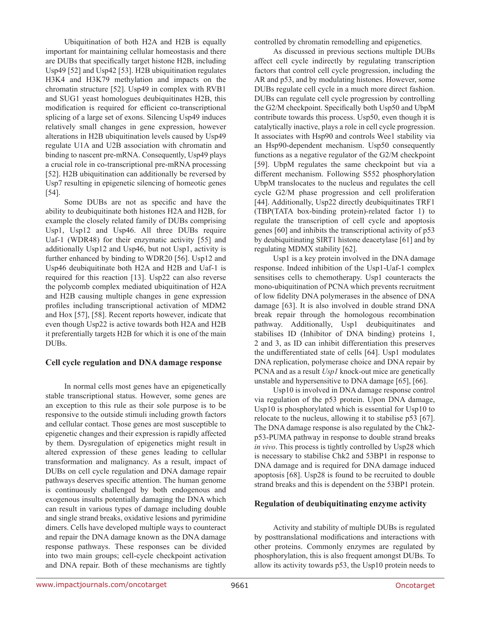Ubiquitination of both H2A and H2B is equally important for maintaining cellular homeostasis and there are DUBs that specifically target histone H2B, including Usp49 [52] and Usp42 [53]. H2B ubiquitination regulates H3K4 and H3K79 methylation and impacts on the chromatin structure [52]. Usp49 in complex with RVB1 and SUG1 yeast homologues deubiquitinates H2B, this modification is required for efficient co-transcriptional splicing of a large set of exons. Silencing Usp49 induces relatively small changes in gene expression, however alterations in H2B ubiquitination levels caused by Usp49 regulate U1A and U2B association with chromatin and binding to nascent pre-mRNA. Consequently, Usp49 plays a crucial role in co-transcriptional pre-mRNA processing [52]. H2B ubiquitination can additionally be reversed by Usp7 resulting in epigenetic silencing of homeotic genes [54].

Some DUBs are not as specific and have the ability to deubiquitinate both histones H2A and H2B, for example the closely related family of DUBs comprising Usp1, Usp12 and Usp46. All three DUBs require Uaf-1 (WDR48) for their enzymatic activity [55] and additionally Usp12 and Usp46, but not Usp1, activity is further enhanced by binding to WDR20 [56]. Usp12 and Usp46 deubiquitinate both H2A and H2B and Uaf-1 is required for this reaction [13]. Usp22 can also reverse the polycomb complex mediated ubiquitination of H2A and H2B causing multiple changes in gene expression profiles including transcriptional activation of MDM2 and Hox [57], [58]. Recent reports however, indicate that even though Usp22 is active towards both H2A and H2B it preferentially targets H2B for which it is one of the main DUBs.

## **Cell cycle regulation and DNA damage response**

In normal cells most genes have an epigenetically stable transcriptional status. However, some genes are an exception to this rule as their sole purpose is to be responsive to the outside stimuli including growth factors and cellular contact. Those genes are most susceptible to epigenetic changes and their expression is rapidly affected by them. Dysregulation of epigenetics might result in altered expression of these genes leading to cellular transformation and malignancy. As a result, impact of DUBs on cell cycle regulation and DNA damage repair pathways deserves specific attention. The human genome is continuously challenged by both endogenous and exogenous insults potentially damaging the DNA which can result in various types of damage including double and single strand breaks, oxidative lesions and pyrimidine dimers. Cells have developed multiple ways to counteract and repair the DNA damage known as the DNA damage response pathways. These responses can be divided into two main groups; cell-cycle checkpoint activation and DNA repair. Both of these mechanisms are tightly

controlled by chromatin remodelling and epigenetics.

As discussed in previous sections multiple DUBs affect cell cycle indirectly by regulating transcription factors that control cell cycle progression, including the AR and p53, and by modulating histones. However, some DUBs regulate cell cycle in a much more direct fashion. DUBs can regulate cell cycle progression by controlling the G2/M checkpoint. Specifically both Usp50 and UbpM contribute towards this process. Usp50, even though it is catalytically inactive, plays a role in cell cycle progression. It associates with Hsp90 and controls Wee1 stability via an Hsp90-dependent mechanism. Usp50 consequently functions as a negative regulator of the G2/M checkpoint [59]. UbpM regulates the same checkpoint but via a different mechanism. Following S552 phosphorylation UbpM translocates to the nucleus and regulates the cell cycle G2/M phase progression and cell proliferation [44]. Additionally, Usp22 directly deubiquitinates TRF1 (TBP(TATA box-binding protein)-related factor 1) to regulate the transcription of cell cycle and apoptosis genes [60] and inhibits the transcriptional activity of p53 by deubiquitinating SIRT1 histone deacetylase [61] and by regulating MDMX stability [62].

Usp1 is a key protein involved in the DNA damage response. Indeed inhibition of the Usp1-Uaf-1 complex sensitises cells to chemotherapy. Usp1 counteracts the mono-ubiquitination of PCNA which prevents recruitment of low fidelity DNA polymerases in the absence of DNA damage [63]. It is also involved in double strand DNA break repair through the homologous recombination pathway. Additionally, Usp1 deubiquitinates and stabilises ID (Inhibitor of DNA binding) proteins 1, 2 and 3, as ID can inhibit differentiation this preserves the undifferentiated state of cells [64]. Usp1 modulates DNA replication, polymerase choice and DNA repair by PCNA and as a result *Usp1* knock-out mice are genetically unstable and hypersensitive to DNA damage [65], [66].

Usp10 is involved in DNA damage response control via regulation of the p53 protein. Upon DNA damage, Usp10 is phosphorylated which is essential for Usp10 to relocate to the nucleus, allowing it to stabilise p53 [67]. The DNA damage response is also regulated by the Chk2 p53-PUMA pathway in response to double strand breaks *in vivo*. This process is tightly controlled by Usp28 which is necessary to stabilise Chk2 and 53BP1 in response to DNA damage and is required for DNA damage induced apoptosis [68]. Usp28 is found to be recruited to double strand breaks and this is dependent on the 53BP1 protein.

#### **Regulation of deubiquitinating enzyme activity**

Activity and stability of multiple DUBs is regulated by posttranslational modifications and interactions with other proteins. Commonly enzymes are regulated by phosphorylation, this is also frequent amongst DUBs. To allow its activity towards p53, the Usp10 protein needs to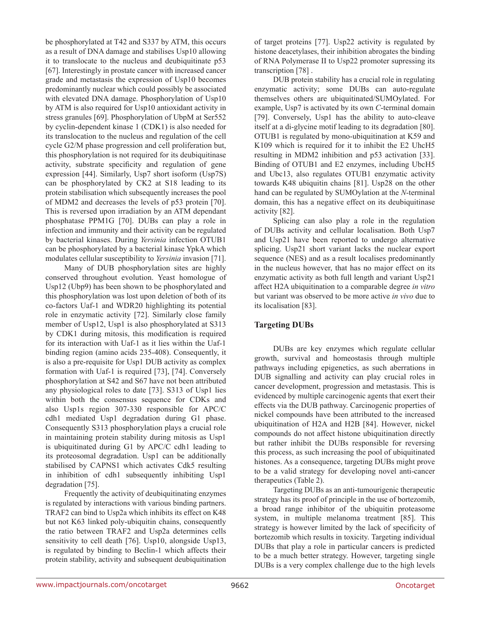be phosphorylated at T42 and S337 by ATM, this occurs as a result of DNA damage and stabilises Usp10 allowing it to translocate to the nucleus and deubiquitinate p53 [67]. Interestingly in prostate cancer with increased cancer grade and metastasis the expression of Usp10 becomes predominantly nuclear which could possibly be associated with elevated DNA damage. Phosphorylation of Usp10 by ATM is also required for Usp10 antioxidant activity in stress granules [69]. Phosphorylation of UbpM at Ser552 by cyclin-dependent kinase 1 (CDK1) is also needed for its translocation to the nucleus and regulation of the cell cycle G2/M phase progression and cell proliferation but, this phosphorylation is not required for its deubiquitinase activity, substrate specificity and regulation of gene expression [44]. Similarly, Usp7 short isoform (Usp7S) can be phosphorylated by CK2 at S18 leading to its protein stabilisation which subsequently increases the pool of MDM2 and decreases the levels of p53 protein [70]. This is reversed upon irradiation by an ATM dependant phosphatase PPM1G [70]. DUBs can play a role in infection and immunity and their activity can be regulated by bacterial kinases. During *Yersinia* infection OTUB1 can be phosphorylated by a bacterial kinase YpkA which modulates cellular susceptibility to *Yersinia* invasion [71].

Many of DUB phosphorylation sites are highly conserved throughout evolution. Yeast homologue of Usp12 (Ubp9) has been shown to be phosphorylated and this phosphorylation was lost upon deletion of both of its co-factors Uaf-1 and WDR20 highlighting its potential role in enzymatic activity [72]. Similarly close family member of Usp12, Usp1 is also phosphorylated at S313 by CDK1 during mitosis, this modification is required for its interaction with Uaf-1 as it lies within the Uaf-1 binding region (amino acids 235-408). Consequently, it is also a pre-requisite for Usp1 DUB activity as complex formation with Uaf-1 is required [73], [74]. Conversely phosphorylation at S42 and S67 have not been attributed any physiological roles to date [73]. S313 of Usp1 lies within both the consensus sequence for CDKs and also Usp1s region 307-330 responsible for APC/C cdh1 mediated Usp1 degradation during G1 phase. Consequently S313 phosphorylation plays a crucial role in maintaining protein stability during mitosis as Usp1 is ubiquitinated during G1 by APC/C cdh1 leading to its proteosomal degradation. Usp1 can be additionally stabilised by CAPNS1 which activates Cdk5 resulting in inhibition of cdh1 subsequently inhibiting Usp1 degradation [75].

Frequently the activity of deubiquitinating enzymes is regulated by interactions with various binding partners. TRAF2 can bind to Usp2a which inhibits its effect on K48 but not K63 linked poly-ubiquitin chains, consequently the ratio between TRAF2 and Usp2a determines cells sensitivity to cell death [76]. Usp10, alongside Usp13, is regulated by binding to Beclin-1 which affects their protein stability, activity and subsequent deubiquitination of target proteins [77]. Usp22 activity is regulated by histone deacetylases, their inhibition abrogates the binding of RNA Polymerase II to Usp22 promoter supressing its transcription [78] .

DUB protein stability has a crucial role in regulating enzymatic activity; some DUBs can auto-regulate themselves others are ubiquitinated/SUMOylated. For example, Usp7 is activated by its own *C*-terminal domain [79]. Conversely, Usp1 has the ability to auto-cleave itself at a di-glycine motif leading to its degradation [80]. OTUB1 is regulated by mono-ubiquitination at K59 and K109 which is required for it to inhibit the E2 UhcH5 resulting in MDM2 inhibition and p53 activation [33]. Binding of OTUB1 and E2 enzymes, including UbcH5 and Ubc13, also regulates OTUB1 enzymatic activity towards K48 ubiquitin chains [81]. Usp28 on the other hand can be regulated by SUMOylation at the *N*-terminal domain, this has a negative effect on its deubiquitinase activity [82].

Splicing can also play a role in the regulation of DUBs activity and cellular localisation. Both Usp7 and Usp21 have been reported to undergo alternative splicing. Usp21 short variant lacks the nuclear export sequence (NES) and as a result localises predominantly in the nucleus however, that has no major effect on its enzymatic activity as both full length and variant Usp21 affect H2A ubiquitination to a comparable degree *in vitro* but variant was observed to be more active *in vivo* due to its localisation [83].

# **Targeting DUBs**

DUBs are key enzymes which regulate cellular growth, survival and homeostasis through multiple pathways including epigenetics, as such aberrations in DUB signalling and activity can play crucial roles in cancer development, progression and metastasis. This is evidenced by multiple carcinogenic agents that exert their effects via the DUB pathway. Carcinogenic properties of nickel compounds have been attributed to the increased ubiquitination of H2A and H2B [84]. However, nickel compounds do not affect histone ubiquitination directly but rather inhibit the DUBs responsible for reversing this process, as such increasing the pool of ubiquitinated histones. As a consequence, targeting DUBs might prove to be a valid strategy for developing novel anti-cancer therapeutics (Table 2).

Targeting DUBs as an anti-tumourigenic therapeutic strategy has its proof of principle in the use of bortezomib, a broad range inhibitor of the ubiquitin proteasome system, in multiple melanoma treatment [85]. This strategy is however limited by the lack of specificity of bortezomib which results in toxicity. Targeting individual DUBs that play a role in particular cancers is predicted to be a much better strategy. However, targeting single DUBs is a very complex challenge due to the high levels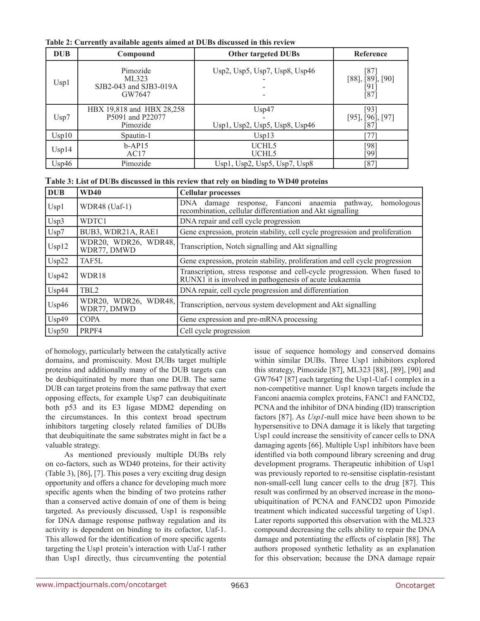| <b>DUB</b> | Compound                                                  | <b>Other targeted DUBs</b>             | Reference                                        |
|------------|-----------------------------------------------------------|----------------------------------------|--------------------------------------------------|
| Usp1       | Pimozide<br>ML323<br>SJB2-043 and SJB3-019A<br>GW7647     | Usp2, Usp5, Usp7, Usp8, Usp46          | [87]<br>$[88]$ , $[89]$ , $[90]$<br>[91]<br>[87] |
| Usp7       | HBX 19,818 and HBX 28,258<br>P5091 and P22077<br>Pimozide | Usp47<br>Usp1, Usp2, Usp5, Usp8, Usp46 | [93]<br>$[95]$ , $[96]$ , $[97]$<br>[87]         |
| Usp10      | Spautin-1                                                 | Usp13                                  | $[77]$                                           |
| Usp14      | $b-AP15$<br>AC17                                          | UCHL5<br>UCHL <sub>5</sub>             | [98]<br>[99]                                     |
| Usp46      | Pimozide                                                  | Usp1, Usp2, Usp5, Usp7, Usp8           | [87]                                             |

**Table 2: Currently available agents aimed at DUBs discussed in this review**

| Table 3: List of DUBs discussed in this review that rely on binding to WD40 proteins |  |
|--------------------------------------------------------------------------------------|--|
|--------------------------------------------------------------------------------------|--|

| <b>DUB</b> | <b>WD40</b>                            | <b>Cellular processes</b>                                                                                                           |
|------------|----------------------------------------|-------------------------------------------------------------------------------------------------------------------------------------|
| Usp1       | WDR48 (Uaf-1)                          | damage response, Fanconi anaemia pathway,<br>homologous<br>DNA<br>recombination, cellular differentiation and Akt signalling        |
| Usp3       | WDTC1                                  | DNA repair and cell cycle progression                                                                                               |
| Usp7       | BUB3, WDR21A, RAE1                     | Gene expression, protein stability, cell cycle progression and proliferation                                                        |
| Usp12      | WDR20, WDR26, WDR48,<br>WDR77, DMWD    | Transcription, Notch signalling and Akt signalling                                                                                  |
| Usp22      | TAF5L                                  | Gene expression, protein stability, proliferation and cell cycle progression                                                        |
| Usp42      | WDR18                                  | Transcription, stress response and cell-cycle progression. When fused to<br>RUNX1 it is involved in pathogenesis of acute leukaemia |
| Usp44      | TBL <sub>2</sub>                       | DNA repair, cell cycle progression and differentiation                                                                              |
| Usp46      | WDR48,<br>WDR20, WDR26,<br>WDR77, DMWD | Transcription, nervous system development and Akt signalling                                                                        |
| Usp49      | <b>COPA</b>                            | Gene expression and pre-mRNA processing                                                                                             |
| Usp50      | PRPF4                                  | Cell cycle progression                                                                                                              |

of homology, particularly between the catalytically active domains, and promiscuity. Most DUBs target multiple proteins and additionally many of the DUB targets can be deubiquitinated by more than one DUB. The same DUB can target proteins from the same pathway that exert opposing effects, for example Usp7 can deubiquitinate both p53 and its E3 ligase MDM2 depending on the circumstances. In this context broad spectrum inhibitors targeting closely related families of DUBs that deubiquitinate the same substrates might in fact be a valuable strategy.

As mentioned previously multiple DUBs rely on co-factors, such as WD40 proteins, for their activity (Table 3), [86], [7]. This poses a very exciting drug design opportunity and offers a chance for developing much more specific agents when the binding of two proteins rather than a conserved active domain of one of them is being targeted. As previously discussed, Usp1 is responsible for DNA damage response pathway regulation and its activity is dependent on binding to its cofactor, Uaf-1. This allowed for the identification of more specific agents targeting the Usp1 protein's interaction with Uaf-1 rather than Usp1 directly, thus circumventing the potential

issue of sequence homology and conserved domains within similar DUBs. Three Usp1 inhibitors explored this strategy, Pimozide [87], ML323 [88], [89], [90] and GW7647 [87] each targeting the Usp1-Uaf-1 complex in a non-competitive manner. Usp1 known targets include the Fanconi anaemia complex proteins, FANC1 and FANCD2, PCNA and the inhibitor of DNA binding (ID) transcription factors [87]. As *Usp1*-null mice have been shown to be hypersensitive to DNA damage it is likely that targeting Usp1 could increase the sensitivity of cancer cells to DNA damaging agents [66]. Multiple Usp1 inhibitors have been identified via both compound library screening and drug development programs. Therapeutic inhibition of Usp1 was previously reported to re-sensitise cisplatin-resistant non-small-cell lung cancer cells to the drug [87]. This result was confirmed by an observed increase in the monoubiquitination of PCNA and FANCD2 upon Pimozide treatment which indicated successful targeting of Usp1. Later reports supported this observation with the ML323 compound decreasing the cells ability to repair the DNA damage and potentiating the effects of cisplatin [88]. The authors proposed synthetic lethality as an explanation for this observation; because the DNA damage repair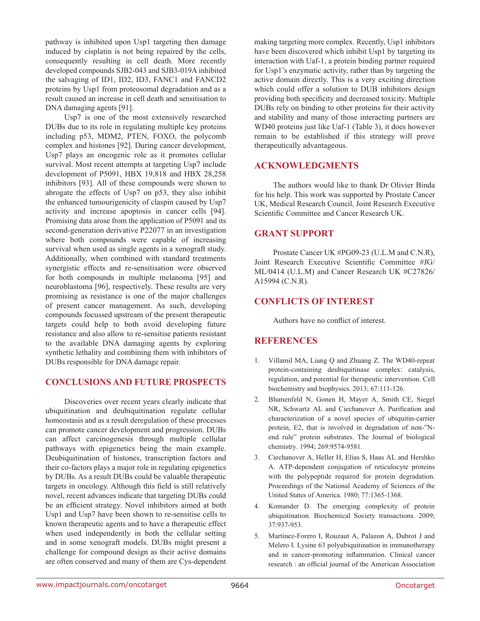pathway is inhibited upon Usp1 targeting then damage induced by cisplatin is not being repaired by the cells, consequently resulting in cell death. More recently developed compounds SJB2-043 and SJB3-019A inhibited the salvaging of ID1, ID2, ID3, FANC1 and FANCD2 proteins by Usp1 from proteosomal degradation and as a result caused an increase in cell death and sensitisation to DNA damaging agents [91].

Usp7 is one of the most extensively researched DUBs due to its role in regulating multiple key proteins including p53, MDM2, PTEN, FOXO, the polycomb complex and histones [92]. During cancer development, Usp7 plays an oncogenic role as it promotes cellular survival. Most recent attempts at targeting Usp7 include development of P5091, HBX 19,818 and HBX 28,258 inhibitors [93]. All of these compounds were shown to abrogate the effects of Usp7 on p53, they also inhibit the enhanced tumourigenicity of claspin caused by Usp7 activity and increase apoptosis in cancer cells [94]. Promising data arose from the application of P5091 and its second-generation derivative P22077 in an investigation where both compounds were capable of increasing survival when used as single agents in a xenograft study. Additionally, when combined with standard treatments synergistic effects and re-sensitisation were observed for both compounds in multiple melanoma [95] and neuroblastoma [96], respectively. These results are very promising as resistance is one of the major challenges of present cancer management. As such, developing compounds focussed upstream of the present therapeutic targets could help to both avoid developing future resistance and also allow to re-sensitise patients resistant to the available DNA damaging agents by exploring synthetic lethality and combining them with inhibitors of DUBs responsible for DNA damage repair.

# **Conclusions and future prospects**

Discoveries over recent years clearly indicate that ubiquitination and deubiquitination regulate cellular homeostasis and as a result deregulation of these processes can promote cancer development and progression. DUBs can affect carcinogenesis through multiple cellular pathways with epigenetics being the main example. Deubiquitination of histones, transcription factors and their co-factors plays a major role in regulating epigenetics by DUBs. As a result DUBs could be valuable therapeutic targets in oncology. Although this field is still relatively novel, recent advances indicate that targeting DUBs could be an efficient strategy. Novel inhibitors aimed at both Usp1 and Usp7 have been shown to re-sensitise cells to known therapeutic agents and to have a therapeutic effect when used independently in both the cellular setting and in some xenograft models. DUBs might present a challenge for compound design as their active domains are often conserved and many of them are Cys-dependent

making targeting more complex. Recently, Usp1 inhibitors have been discovered which inhibit Usp1 by targeting its interaction with Uaf-1, a protein binding partner required for Usp1's enzymatic activity, rather than by targeting the active domain directly. This is a very exciting direction which could offer a solution to DUB inhibitors design providing both specificity and decreased toxicity. Multiple DUBs rely on binding to other proteins for their activity and stability and many of those interacting partners are WD40 proteins just like Uaf-1 (Table 3), it does however remain to be established if this strategy will prove therapeutically advantageous.

## **ACKNOWLEDGMENTS**

The authors would like to thank Dr Olivier Binda for his help. This work was supported by Prostate Cancer UK, Medical Research Council, Joint Research Executive Scientific Committee and Cancer Research UK.

# **Grant support**

Prostate Cancer UK #PG09-23 (U.L.M and C.N.R), Joint Research Executive Scientific Committee #JG/ ML/0414 (U.L.M) and Cancer Research UK #C27826/ A15994 (C.N.R).

# **conflicts of interest**

Authors have no conflict of interest.

## **References**

- 1. Villamil MA, Liang Q and Zhuang Z. The WD40-repeat protein-containing deubiquitinase complex: catalysis, regulation, and potential for therapeutic intervention. Cell biochemistry and biophysics. 2013; 67:111-126.
- 2. Blumenfeld N, Gonen H, Mayer A, Smith CE, Siegel NR, Schwartz AL and Ciechanover A. Purification and characterization of a novel species of ubiquitin-carrier protein, E2, that is involved in degradation of non-"Nend rule" protein substrates. The Journal of biological chemistry. 1994; 269:9574-9581.
- 3. Ciechanover A, Heller H, Elias S, Haas AL and Hershko A. ATP-dependent conjugation of reticulocyte proteins with the polypeptide required for protein degradation. Proceedings of the National Academy of Sciences of the United States of America. 1980; 77:1365-1368.
- 4. Komander D. The emerging complexity of protein ubiquitination. Biochemical Society transactions. 2009; 37:937-953.
- 5. Martinez-Forero I, Rouzaut A, Palazon A, Dubrot J and Melero I. Lysine 63 polyubiquitination in immunotherapy and in cancer-promoting inflammation. Clinical cancer research : an official journal of the American Association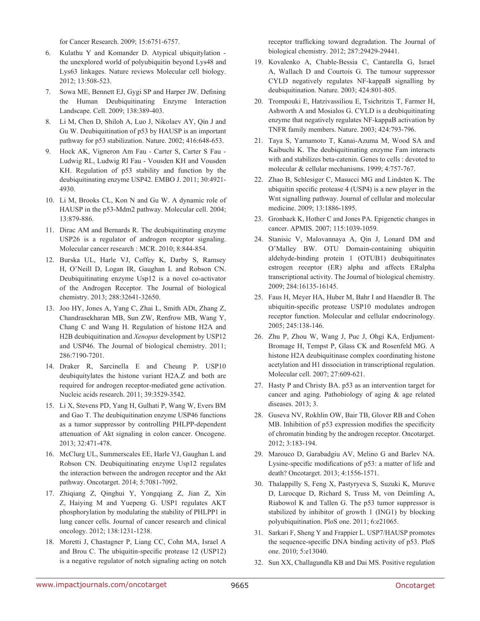for Cancer Research. 2009; 15:6751-6757.

- 6. Kulathu Y and Komander D. Atypical ubiquitylation the unexplored world of polyubiquitin beyond Lys48 and Lys63 linkages. Nature reviews Molecular cell biology. 2012; 13:508-523.
- 7. Sowa ME, Bennett EJ, Gygi SP and Harper JW. Defining the Human Deubiquitinating Enzyme Interaction Landscape. Cell. 2009; 138:389-403.
- 8. Li M, Chen D, Shiloh A, Luo J, Nikolaev AY, Qin J and Gu W. Deubiquitination of p53 by HAUSP is an important pathway for p53 stabilization. Nature. 2002; 416:648-653.
- 9. Hock AK, Vigneron Am Fau Carter S, Carter S Fau Ludwig RL, Ludwig Rl Fau - Vousden KH and Vousden KH. Regulation of p53 stability and function by the deubiquitinating enzyme USP42. EMBO J. 2011; 30:4921- 4930.
- 10. Li M, Brooks CL, Kon N and Gu W. A dynamic role of HAUSP in the p53-Mdm2 pathway. Molecular cell. 2004; 13:879-886.
- 11. Dirac AM and Bernards R. The deubiquitinating enzyme USP26 is a regulator of androgen receptor signaling. Molecular cancer research : MCR. 2010; 8:844-854.
- 12. Burska UL, Harle VJ, Coffey K, Darby S, Ramsey H, O'Neill D, Logan IR, Gaughan L and Robson CN. Deubiquitinating enzyme Usp12 is a novel co-activator of the Androgen Receptor. The Journal of biological chemistry. 2013; 288:32641-32650.
- 13. Joo HY, Jones A, Yang C, Zhai L, Smith ADt, Zhang Z, Chandrasekharan MB, Sun ZW, Renfrow MB, Wang Y, Chang C and Wang H. Regulation of histone H2A and H2B deubiquitination and *Xenopus* development by USP12 and USP46. The Journal of biological chemistry. 2011; 286:7190-7201.
- 14. Draker R, Sarcinella E and Cheung P. USP10 deubiquitylates the histone variant H2A.Z and both are required for androgen receptor-mediated gene activation. Nucleic acids research. 2011; 39:3529-3542.
- 15. Li X, Stevens PD, Yang H, Gulhati P, Wang W, Evers BM and Gao T. The deubiquitination enzyme USP46 functions as a tumor suppressor by controlling PHLPP-dependent attenuation of Akt signaling in colon cancer. Oncogene. 2013; 32:471-478.
- 16. McClurg UL, Summerscales EE, Harle VJ, Gaughan L and Robson CN. Deubiquitinating enzyme Usp12 regulates the interaction between the androgen receptor and the Akt pathway. Oncotarget. 2014; 5:7081-7092.
- 17. Zhiqiang Z, Qinghui Y, Yongqiang Z, Jian Z, Xin Z, Haiying M and Yuepeng G. USP1 regulates AKT phosphorylation by modulating the stability of PHLPP1 in lung cancer cells. Journal of cancer research and clinical oncology. 2012; 138:1231-1238.
- 18. Moretti J, Chastagner P, Liang CC, Cohn MA, Israel A and Brou C. The ubiquitin-specific protease 12 (USP12) is a negative regulator of notch signaling acting on notch

receptor trafficking toward degradation. The Journal of biological chemistry. 2012; 287:29429-29441.

- 19. Kovalenko A, Chable-Bessia C, Cantarella G, Israel A, Wallach D and Courtois G. The tumour suppressor CYLD negatively regulates NF-kappaB signalling by deubiquitination. Nature. 2003; 424:801-805.
- 20. Trompouki E, Hatzivassiliou E, Tsichritzis T, Farmer H, Ashworth A and Mosialos G. CYLD is a deubiquitinating enzyme that negatively regulates NF-kappaB activation by TNFR family members. Nature. 2003; 424:793-796.
- 21. Taya S, Yamamoto T, Kanai-Azuma M, Wood SA and Kaibuchi K. The deubiquitinating enzyme Fam interacts with and stabilizes beta-catenin. Genes to cells : devoted to molecular & cellular mechanisms. 1999; 4:757-767.
- 22. Zhao B, Schlesiger C, Masucci MG and Lindsten K. The ubiquitin specific protease 4 (USP4) is a new player in the Wnt signalling pathway. Journal of cellular and molecular medicine. 2009; 13:1886-1895.
- 23. Gronbaek K, Hother C and Jones PA. Epigenetic changes in cancer. APMIS. 2007; 115:1039-1059.
- 24. Stanisic V, Malovannaya A, Qin J, Lonard DM and O'Malley BW. OTU Domain-containing ubiquitin aldehyde-binding protein 1 (OTUB1) deubiquitinates estrogen receptor (ER) alpha and affects ERalpha transcriptional activity. The Journal of biological chemistry. 2009; 284:16135-16145.
- 25. Faus H, Meyer HA, Huber M, Bahr I and Haendler B. The ubiquitin-specific protease USP10 modulates androgen receptor function. Molecular and cellular endocrinology. 2005; 245:138-146.
- 26. Zhu P, Zhou W, Wang J, Puc J, Ohgi KA, Erdjument-Bromage H, Tempst P, Glass CK and Rosenfeld MG. A histone H2A deubiquitinase complex coordinating histone acetylation and H1 dissociation in transcriptional regulation. Molecular cell. 2007; 27:609-621.
- 27. Hasty P and Christy BA. p53 as an intervention target for cancer and aging. Pathobiology of aging & age related diseases. 2013; 3.
- 28. Guseva NV, Rokhlin OW, Bair TB, Glover RB and Cohen MB. Inhibition of p53 expression modifies the specificity of chromatin binding by the androgen receptor. Oncotarget. 2012; 3:183-194.
- 29. Marouco D, Garabadgiu AV, Melino G and Barlev NA. Lysine-specific modifications of p53: a matter of life and death? Oncotarget. 2013; 4:1556-1571.
- 30. Thalappilly S, Feng X, Pastyryeva S, Suzuki K, Muruve D, Larocque D, Richard S, Truss M, von Deimling A, Riabowol K and Tallen G. The p53 tumor suppressor is stabilized by inhibitor of growth 1 (ING1) by blocking polyubiquitination. PloS one. 2011; 6:e21065.
- 31. Sarkari F, Sheng Y and Frappier L. USP7/HAUSP promotes the sequence-specific DNA binding activity of p53. PloS one. 2010; 5:e13040.
- 32. Sun XX, Challagundla KB and Dai MS. Positive regulation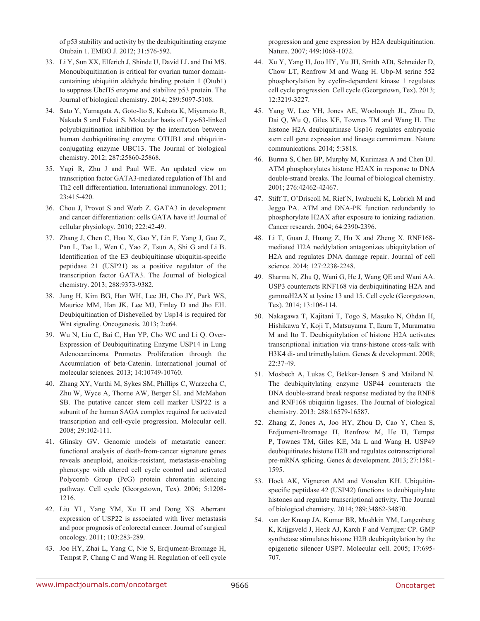of p53 stability and activity by the deubiquitinating enzyme Otubain 1. EMBO J. 2012; 31:576-592.

- 33. Li Y, Sun XX, Elferich J, Shinde U, David LL and Dai MS. Monoubiquitination is critical for ovarian tumor domaincontaining ubiquitin aldehyde binding protein 1 (Otub1) to suppress UbcH5 enzyme and stabilize p53 protein. The Journal of biological chemistry. 2014; 289:5097-5108.
- 34. Sato Y, Yamagata A, Goto-Ito S, Kubota K, Miyamoto R, Nakada S and Fukai S. Molecular basis of Lys-63-linked polyubiquitination inhibition by the interaction between human deubiquitinating enzyme OTUB1 and ubiquitinconjugating enzyme UBC13. The Journal of biological chemistry. 2012; 287:25860-25868.
- 35. Yagi R, Zhu J and Paul WE. An updated view on transcription factor GATA3-mediated regulation of Th1 and Th2 cell differentiation. International immunology. 2011; 23:415-420.
- 36. Chou J, Provot S and Werb Z. GATA3 in development and cancer differentiation: cells GATA have it! Journal of cellular physiology. 2010; 222:42-49.
- 37. Zhang J, Chen C, Hou X, Gao Y, Lin F, Yang J, Gao Z, Pan L, Tao L, Wen C, Yao Z, Tsun A, Shi G and Li B. Identification of the E3 deubiquitinase ubiquitin-specific peptidase 21 (USP21) as a positive regulator of the transcription factor GATA3. The Journal of biological chemistry. 2013; 288:9373-9382.
- 38. Jung H, Kim BG, Han WH, Lee JH, Cho JY, Park WS, Maurice MM, Han JK, Lee MJ, Finley D and Jho EH. Deubiquitination of Dishevelled by Usp14 is required for Wnt signaling. Oncogenesis. 2013; 2:e64.
- 39. Wu N, Liu C, Bai C, Han YP, Cho WC and Li Q. Over-Expression of Deubiquitinating Enzyme USP14 in Lung Adenocarcinoma Promotes Proliferation through the Accumulation of beta-Catenin. International journal of molecular sciences. 2013; 14:10749-10760.
- 40. Zhang XY, Varthi M, Sykes SM, Phillips C, Warzecha C, Zhu W, Wyce A, Thorne AW, Berger SL and McMahon SB. The putative cancer stem cell marker USP22 is a subunit of the human SAGA complex required for activated transcription and cell-cycle progression. Molecular cell. 2008; 29:102-111.
- 41. Glinsky GV. Genomic models of metastatic cancer: functional analysis of death-from-cancer signature genes reveals aneuploid, anoikis-resistant, metastasis-enabling phenotype with altered cell cycle control and activated Polycomb Group (PcG) protein chromatin silencing pathway. Cell cycle (Georgetown, Tex). 2006; 5:1208- 1216.
- 42. Liu YL, Yang YM, Xu H and Dong XS. Aberrant expression of USP22 is associated with liver metastasis and poor prognosis of colorectal cancer. Journal of surgical oncology. 2011; 103:283-289.
- 43. Joo HY, Zhai L, Yang C, Nie S, Erdjument-Bromage H, Tempst P, Chang C and Wang H. Regulation of cell cycle

progression and gene expression by H2A deubiquitination. Nature. 2007; 449:1068-1072.

- 44. Xu Y, Yang H, Joo HY, Yu JH, Smith ADt, Schneider D, Chow LT, Renfrow M and Wang H. Ubp-M serine 552 phosphorylation by cyclin-dependent kinase 1 regulates cell cycle progression. Cell cycle (Georgetown, Tex). 2013; 12:3219-3227.
- 45. Yang W, Lee YH, Jones AE, Woolnough JL, Zhou D, Dai Q, Wu Q, Giles KE, Townes TM and Wang H. The histone H2A deubiquitinase Usp16 regulates embryonic stem cell gene expression and lineage commitment. Nature communications. 2014; 5:3818.
- 46. Burma S, Chen BP, Murphy M, Kurimasa A and Chen DJ. ATM phosphorylates histone H2AX in response to DNA double-strand breaks. The Journal of biological chemistry. 2001; 276:42462-42467.
- 47. Stiff T, O'Driscoll M, Rief N, Iwabuchi K, Lobrich M and Jeggo PA. ATM and DNA-PK function redundantly to phosphorylate H2AX after exposure to ionizing radiation. Cancer research. 2004; 64:2390-2396.
- 48. Li T, Guan J, Huang Z, Hu X and Zheng X. RNF168 mediated H2A neddylation antagonizes ubiquitylation of H2A and regulates DNA damage repair. Journal of cell science. 2014; 127:2238-2248.
- 49. Sharma N, Zhu Q, Wani G, He J, Wang QE and Wani AA. USP3 counteracts RNF168 via deubiquitinating H2A and gammaH2AX at lysine 13 and 15. Cell cycle (Georgetown, Tex). 2014; 13:106-114.
- 50. Nakagawa T, Kajitani T, Togo S, Masuko N, Ohdan H, Hishikawa Y, Koji T, Matsuyama T, Ikura T, Muramatsu M and Ito T. Deubiquitylation of histone H2A activates transcriptional initiation via trans-histone cross-talk with H3K4 di- and trimethylation. Genes & development. 2008; 22:37-49.
- 51. Mosbech A, Lukas C, Bekker-Jensen S and Mailand N. The deubiquitylating enzyme USP44 counteracts the DNA double-strand break response mediated by the RNF8 and RNF168 ubiquitin ligases. The Journal of biological chemistry. 2013; 288:16579-16587.
- 52. Zhang Z, Jones A, Joo HY, Zhou D, Cao Y, Chen S, Erdjument-Bromage H, Renfrow M, He H, Tempst P, Townes TM, Giles KE, Ma L and Wang H. USP49 deubiquitinates histone H2B and regulates cotranscriptional pre-mRNA splicing. Genes & development. 2013; 27:1581- 1595.
- 53. Hock AK, Vigneron AM and Vousden KH. Ubiquitinspecific peptidase 42 (USP42) functions to deubiquitylate histones and regulate transcriptional activity. The Journal of biological chemistry. 2014; 289:34862-34870.
- 54. van der Knaap JA, Kumar BR, Moshkin YM, Langenberg K, Krijgsveld J, Heck AJ, Karch F and Verrijzer CP. GMP synthetase stimulates histone H2B deubiquitylation by the epigenetic silencer USP7. Molecular cell. 2005; 17:695- 707.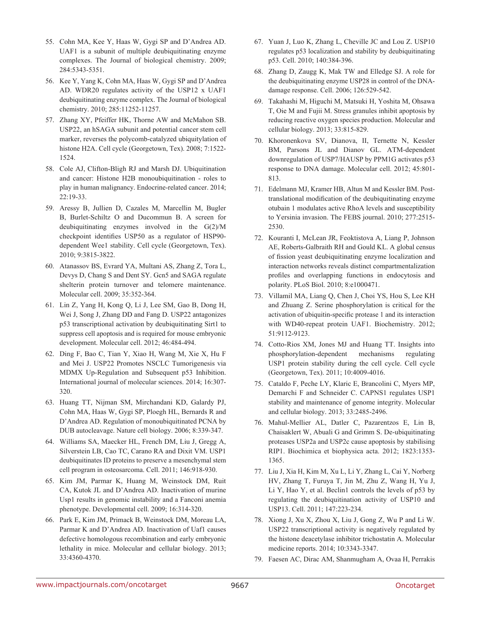- 55. Cohn MA, Kee Y, Haas W, Gygi SP and D'Andrea AD. UAF1 is a subunit of multiple deubiquitinating enzyme complexes. The Journal of biological chemistry. 2009; 284:5343-5351.
- 56. Kee Y, Yang K, Cohn MA, Haas W, Gygi SP and D'Andrea AD. WDR20 regulates activity of the USP12 x UAF1 deubiquitinating enzyme complex. The Journal of biological chemistry. 2010; 285:11252-11257.
- 57. Zhang XY, Pfeiffer HK, Thorne AW and McMahon SB. USP22, an hSAGA subunit and potential cancer stem cell marker, reverses the polycomb-catalyzed ubiquitylation of histone H2A. Cell cycle (Georgetown, Tex). 2008; 7:1522- 1524.
- 58. Cole AJ, Clifton-Bligh RJ and Marsh DJ. Ubiquitination and cancer: Histone H2B monoubiquitination - roles to play in human malignancy. Endocrine-related cancer. 2014; 22:19-33.
- 59. Aressy B, Jullien D, Cazales M, Marcellin M, Bugler B, Burlet-Schiltz O and Ducommun B. A screen for deubiquitinating enzymes involved in the G(2)/M checkpoint identifies USP50 as a regulator of HSP90 dependent Wee1 stability. Cell cycle (Georgetown, Tex). 2010; 9:3815-3822.
- 60. Atanassov BS, Evrard YA, Multani AS, Zhang Z, Tora L, Devys D, Chang S and Dent SY. Gcn5 and SAGA regulate shelterin protein turnover and telomere maintenance. Molecular cell. 2009; 35:352-364.
- 61. Lin Z, Yang H, Kong Q, Li J, Lee SM, Gao B, Dong H, Wei J, Song J, Zhang DD and Fang D. USP22 antagonizes p53 transcriptional activation by deubiquitinating Sirt1 to suppress cell apoptosis and is required for mouse embryonic development. Molecular cell. 2012; 46:484-494.
- 62. Ding F, Bao C, Tian Y, Xiao H, Wang M, Xie X, Hu F and Mei J. USP22 Promotes NSCLC Tumorigenesis via MDMX Up-Regulation and Subsequent p53 Inhibition. International journal of molecular sciences. 2014; 16:307- 320.
- 63. Huang TT, Nijman SM, Mirchandani KD, Galardy PJ, Cohn MA, Haas W, Gygi SP, Ploegh HL, Bernards R and D'Andrea AD. Regulation of monoubiquitinated PCNA by DUB autocleavage. Nature cell biology. 2006; 8:339-347.
- 64. Williams SA, Maecker HL, French DM, Liu J, Gregg A, Silverstein LB, Cao TC, Carano RA and Dixit VM. USP1 deubiquitinates ID proteins to preserve a mesenchymal stem cell program in osteosarcoma. Cell. 2011; 146:918-930.
- 65. Kim JM, Parmar K, Huang M, Weinstock DM, Ruit CA, Kutok JL and D'Andrea AD. Inactivation of murine Usp1 results in genomic instability and a Fanconi anemia phenotype. Developmental cell. 2009; 16:314-320.
- 66. Park E, Kim JM, Primack B, Weinstock DM, Moreau LA, Parmar K and D'Andrea AD. Inactivation of Uaf1 causes defective homologous recombination and early embryonic lethality in mice. Molecular and cellular biology. 2013; 33:4360-4370.
- 67. Yuan J, Luo K, Zhang L, Cheville JC and Lou Z. USP10 regulates p53 localization and stability by deubiquitinating p53. Cell. 2010; 140:384-396.
- 68. Zhang D, Zaugg K, Mak TW and Elledge SJ. A role for the deubiquitinating enzyme USP28 in control of the DNAdamage response. Cell. 2006; 126:529-542.
- 69. Takahashi M, Higuchi M, Matsuki H, Yoshita M, Ohsawa T, Oie M and Fujii M. Stress granules inhibit apoptosis by reducing reactive oxygen species production. Molecular and cellular biology. 2013; 33:815-829.
- 70. Khoronenkova SV, Dianova, II, Ternette N, Kessler BM, Parsons JL and Dianov GL. ATM-dependent downregulation of USP7/HAUSP by PPM1G activates p53 response to DNA damage. Molecular cell. 2012; 45:801- 813.
- 71. Edelmann MJ, Kramer HB, Altun M and Kessler BM. Posttranslational modification of the deubiquitinating enzyme otubain 1 modulates active RhoA levels and susceptibility to Yersinia invasion. The FEBS journal. 2010; 277:2515- 2530.
- 72. Kouranti I, McLean JR, Feoktistova A, Liang P, Johnson AE, Roberts-Galbraith RH and Gould KL. A global census of fission yeast deubiquitinating enzyme localization and interaction networks reveals distinct compartmentalization profiles and overlapping functions in endocytosis and polarity. PLoS Biol. 2010; 8:e1000471.
- 73. Villamil MA, Liang Q, Chen J, Choi YS, Hou S, Lee KH and Zhuang Z. Serine phosphorylation is critical for the activation of ubiquitin-specific protease 1 and its interaction with WD40-repeat protein UAF1. Biochemistry. 2012; 51:9112-9123.
- 74. Cotto-Rios XM, Jones MJ and Huang TT. Insights into phosphorylation-dependent mechanisms regulating USP1 protein stability during the cell cycle. Cell cycle (Georgetown, Tex). 2011; 10:4009-4016.
- 75. Cataldo F, Peche LY, Klaric E, Brancolini C, Myers MP, Demarchi F and Schneider C. CAPNS1 regulates USP1 stability and maintenance of genome integrity. Molecular and cellular biology. 2013; 33:2485-2496.
- 76. Mahul-Mellier AL, Datler C, Pazarentzos E, Lin B, Chaisaklert W, Abuali G and Grimm S. De-ubiquitinating proteases USP2a and USP2c cause apoptosis by stabilising RIP1. Biochimica et biophysica acta. 2012; 1823:1353- 1365.
- 77. Liu J, Xia H, Kim M, Xu L, Li Y, Zhang L, Cai Y, Norberg HV, Zhang T, Furuya T, Jin M, Zhu Z, Wang H, Yu J, Li Y, Hao Y, et al. Beclin1 controls the levels of p53 by regulating the deubiquitination activity of USP10 and USP13. Cell. 2011; 147:223-234.
- 78. Xiong J, Xu X, Zhou X, Liu J, Gong Z, Wu P and Li W. USP22 transcriptional activity is negatively regulated by the histone deacetylase inhibitor trichostatin A. Molecular medicine reports. 2014; 10:3343-3347.
- 79. Faesen AC, Dirac AM, Shanmugham A, Ovaa H, Perrakis